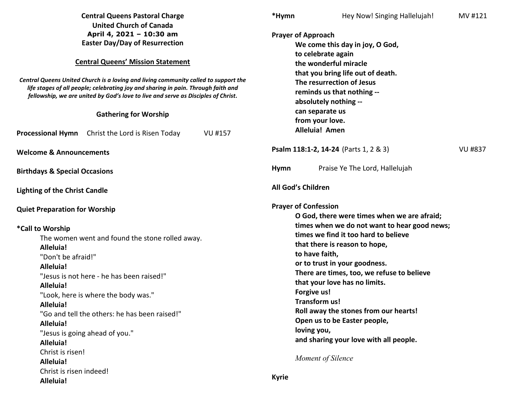|                                                                                                                                                                                                                                                               | <b>Central Queens Pastoral Charge</b>         |                | *Hymn                                                   | Hey Now! Singing Hallelujah!                 | MV #121        |  |
|---------------------------------------------------------------------------------------------------------------------------------------------------------------------------------------------------------------------------------------------------------------|-----------------------------------------------|----------------|---------------------------------------------------------|----------------------------------------------|----------------|--|
|                                                                                                                                                                                                                                                               | <b>United Church of Canada</b>                |                |                                                         |                                              |                |  |
| April 4, 2021 - 10:30 am<br><b>Easter Day/Day of Resurrection</b>                                                                                                                                                                                             |                                               |                | <b>Prayer of Approach</b>                               |                                              |                |  |
|                                                                                                                                                                                                                                                               |                                               |                | We come this day in joy, O God,                         |                                              |                |  |
|                                                                                                                                                                                                                                                               |                                               |                |                                                         | to celebrate again                           |                |  |
| <b>Central Queens' Mission Statement</b>                                                                                                                                                                                                                      |                                               |                |                                                         | the wonderful miracle                        |                |  |
|                                                                                                                                                                                                                                                               |                                               |                |                                                         | that you bring life out of death.            |                |  |
| Central Queens United Church is a loving and living community called to support the<br>life stages of all people; celebrating joy and sharing in pain. Through faith and<br>fellowship, we are united by God's love to live and serve as Disciples of Christ. |                                               |                | The resurrection of Jesus<br>reminds us that nothing -- |                                              |                |  |
|                                                                                                                                                                                                                                                               |                                               |                |                                                         |                                              |                |  |
|                                                                                                                                                                                                                                                               | <b>Gathering for Worship</b>                  |                |                                                         | can separate us                              |                |  |
|                                                                                                                                                                                                                                                               |                                               |                |                                                         | from your love.                              |                |  |
| <b>Processional Hymn</b>                                                                                                                                                                                                                                      | Christ the Lord is Risen Today                | <b>VU #157</b> |                                                         | <b>Alleluia! Amen</b>                        |                |  |
| <b>Welcome &amp; Announcements</b>                                                                                                                                                                                                                            |                                               |                |                                                         | <b>Psalm 118:1-2, 14-24</b> (Parts 1, 2 & 3) | <b>VU #837</b> |  |
| <b>Birthdays &amp; Special Occasions</b>                                                                                                                                                                                                                      |                                               |                | <b>Hymn</b>                                             | Praise Ye The Lord, Hallelujah               |                |  |
| <b>Lighting of the Christ Candle</b>                                                                                                                                                                                                                          |                                               |                |                                                         | All God's Children                           |                |  |
| <b>Quiet Preparation for Worship</b>                                                                                                                                                                                                                          |                                               |                |                                                         | <b>Prayer of Confession</b>                  |                |  |
|                                                                                                                                                                                                                                                               |                                               |                |                                                         | O God, there were times when we are afraid;  |                |  |
| *Call to Worship                                                                                                                                                                                                                                              |                                               |                |                                                         | times when we do not want to hear good news; |                |  |
| The women went and found the stone rolled away.                                                                                                                                                                                                               |                                               |                | times we find it too hard to believe                    |                                              |                |  |
| Alleluia!                                                                                                                                                                                                                                                     |                                               |                | that there is reason to hope,                           |                                              |                |  |
| "Don't be afraid!"                                                                                                                                                                                                                                            |                                               |                | to have faith,                                          |                                              |                |  |
| Alleluia!                                                                                                                                                                                                                                                     |                                               |                | or to trust in your goodness.                           |                                              |                |  |
|                                                                                                                                                                                                                                                               | "Jesus is not here - he has been raised!"     |                |                                                         | There are times, too, we refuse to believe   |                |  |
| Alleluia!                                                                                                                                                                                                                                                     |                                               |                |                                                         | that your love has no limits.                |                |  |
|                                                                                                                                                                                                                                                               | "Look, here is where the body was."           |                |                                                         | Forgive us!                                  |                |  |
| Alleluia!                                                                                                                                                                                                                                                     |                                               |                |                                                         | Transform us!                                |                |  |
|                                                                                                                                                                                                                                                               | "Go and tell the others: he has been raised!" |                |                                                         | Roll away the stones from our hearts!        |                |  |
| Alleluia!                                                                                                                                                                                                                                                     |                                               |                |                                                         | Open us to be Easter people,                 |                |  |
|                                                                                                                                                                                                                                                               | "Jesus is going ahead of you."                |                |                                                         | loving you,                                  |                |  |
| Alleluia!                                                                                                                                                                                                                                                     |                                               |                |                                                         | and sharing your love with all people.       |                |  |
| Christ is risen!                                                                                                                                                                                                                                              |                                               |                |                                                         |                                              |                |  |
| Alleluia!                                                                                                                                                                                                                                                     |                                               |                |                                                         | Moment of Silence                            |                |  |
| Christ is risen indeed!                                                                                                                                                                                                                                       |                                               |                |                                                         |                                              |                |  |
| Alleluia!                                                                                                                                                                                                                                                     |                                               |                | <b>Kyrie</b>                                            |                                              |                |  |
|                                                                                                                                                                                                                                                               |                                               |                |                                                         |                                              |                |  |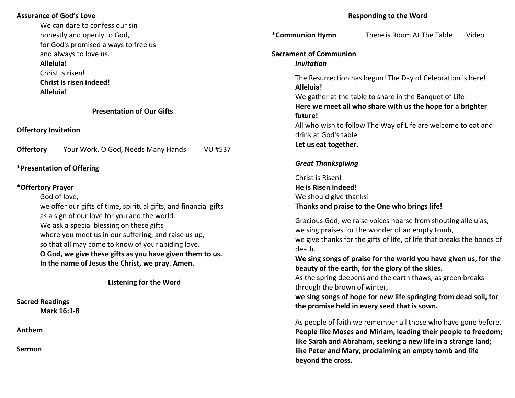#### **Assurance of God's Love**

We can dare to confess our sin honestly and openly to God, for God's promised always to free us and always to love us. **Alleluia!** Christ is risen! **Christ is risen indeed!** 

 **Alleluia!** 

#### **Presentation of Our Gifts**

**Offertory Invitation** 

**Offertory** Your Work, O God, Needs Many Hands VU #537

#### **\*Presentation of Offering**

#### **\*Offertory Prayer**

God of love,

 we offer our gifts of time, spiritual gifts, and financial gifts as a sign of our love for you and the world. We ask a special blessing on these gifts where you meet us in our suffering, and raise us up, so that all may come to know of your abiding love.**O God, we give these gifts as you have given them to us. In the name of Jesus the Christ, we pray. Amen.**

**Listening for the Word** 

**Sacred Readings Mark 16:1-8**

**Anthem** 

**Sermon** 

#### **Responding to the Word**

**\*Communion Hymn** There is Room At The Table Video **Sacrament of Communion***Invitation*The Resurrection has begun! The Day of Celebration is here!  **Alleluia!** We gather at the table to share in the Banquet of Life!  **Here we meet all who share with us the hope for a brighter future!** All who wish to follow The Way of Life are welcome to eat and drink at God's table.  **Let us eat together.**

### *Great Thanksgiving*

 Christ is Risen!  **He is Risen Indeed!**We should give thanks!  **Thanks and praise to the One who brings life!**

 Gracious God, we raise voices hoarse from shouting alleluias, we sing praises for the wonder of an empty tomb, we give thanks for the gifts of life, of life that breaks the bonds of death.

 **We sing songs of praise for the world you have given us, for the beauty of the earth, for the glory of the skies.**

 As the spring deepens and the earth thaws, as green breaks through the brown of winter,

 **we sing songs of hope for new life springing from dead soil, for the promise held in every seed that is sown.**

 As people of faith we remember all those who have gone before. **People like Moses and Miriam, leading their people to freedom; like Sarah and Abraham, seeking a new life in a strange land; like Peter and Mary, proclaiming an empty tomb and life beyond the cross.**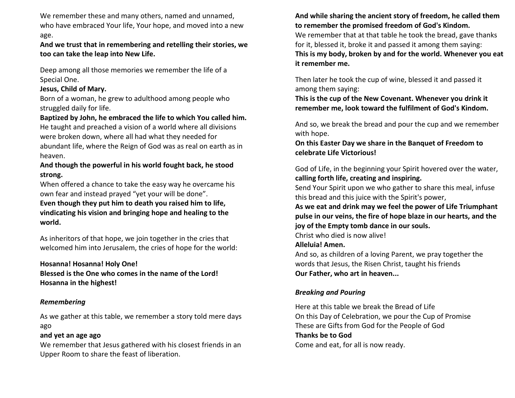We remember these and many others, named and unnamed, who have embraced Your life, Your hope, and moved into a new age.

## **And we trust that in remembering and retelling their stories, we too can take the leap into New Life.**

 Deep among all those memories we remember the life of a Special One.

## **Jesus, Child of Mary.**

 Born of a woman, he grew to adulthood among people who struggled daily for life.

## **Baptized by John, he embraced the life to which You called him.**

He taught and preached a vision of a world where all divisions were broken down, where all had what they needed for abundant life, where the Reign of God was as real on earth as in heaven.

# **And though the powerful in his world fought back, he stood strong.**

When offered a chance to take the easy way he overcame his own fear and instead prayed "yet your will be done".

 **Even though they put him to death you raised him to life, vindicating his vision and bringing hope and healing to the world.**

 As inheritors of that hope, we join together in the cries that welcomed him into Jerusalem, the cries of hope for the world:

 **Hosanna! Hosanna! Holy One! Blessed is the One who comes in the name of the Lord! Hosanna in the highest!**

## *Remembering*

 As we gather at this table, we remember a story told mere days ago

## **and yet an age ago**

 We remember that Jesus gathered with his closest friends in an Upper Room to share the feast of liberation.

**And while sharing the ancient story of freedom, he called them to remember the promised freedom of God's Kindom.**

We remember that at that table he took the bread, gave thanks for it, blessed it, broke it and passed it among them saying:  **This is my body, broken by and for the world. Whenever you eat it remember me.**

Then later he took the cup of wine, blessed it and passed it among them saying:

 **This is the cup of the New Covenant. Whenever you drink it remember me, look toward the fulfilment of God's Kindom.**

 And so, we break the bread and pour the cup and we remember with hope.

 **On this Easter Day we share in the Banquet of Freedom to celebrate Life Victorious!**

God of Life, in the beginning your Spirit hovered over the water, **calling forth life, creating and inspiring.**

 Send Your Spirit upon we who gather to share this meal, infuse this bread and this juice with the Spirit's power,

 **As we eat and drink may we feel the power of Life Triumphant pulse in our veins, the fire of hope blaze in our hearts, and the joy of the Empty tomb dance in our souls.**

Christ who died is now alive!

## **Alleluia! Amen.**

And so, as children of a loving Parent, we pray together the words that Jesus, the Risen Christ, taught his friends  **Our Father, who art in heaven...**

## *Breaking and Pouring*

 Here at this table we break the Bread of Life On this Day of Celebration, we pour the Cup of Promise These are Gifts from God for the People of God  **Thanks be to God**Come and eat, for all is now ready.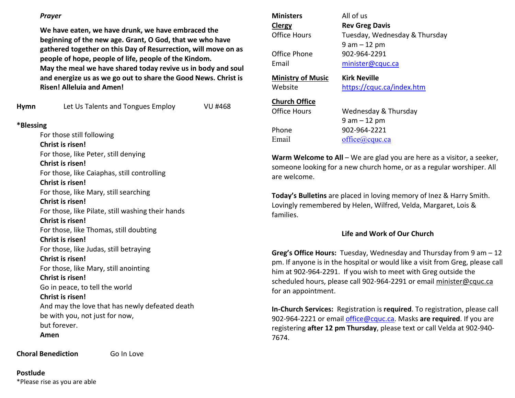### *Prayer*

**We have eaten, we have drunk, we have embraced the beginning of the new age. Grant, O God, that we who have gathered together on this Day of Resurrection, will move on as people of hope, people of life, people of the Kindom. May the meal we have shared today revive us in body and soul and energize us as we go out to share the Good News. Christ is Risen! Alleluia and Amen!**

| Hymn      | Let Us Talents and Tongues Employ                 | VU #468 |
|-----------|---------------------------------------------------|---------|
| *Blessing |                                                   |         |
|           | For those still following                         |         |
|           | Christ is risen!                                  |         |
|           | For those, like Peter, still denying              |         |
|           | Christ is risen!                                  |         |
|           | For those, like Caiaphas, still controlling       |         |
|           | Christ is risen!                                  |         |
|           | For those, like Mary, still searching             |         |
|           | Christ is risen!                                  |         |
|           | For those, like Pilate, still washing their hands |         |
|           | <b>Christ is risen!</b>                           |         |
|           | For those, like Thomas, still doubting            |         |
|           | Christ is risen!                                  |         |
|           | For those, like Judas, still betraying            |         |
|           | Christ is risen!                                  |         |
|           | For those, like Mary, still anointing             |         |

**Christ is risen!** 

Go in peace, to tell the world

#### **Christ is risen!**

And may the love that has newly defeated death be with you, not just for now, but forever. **Amen** 

**Choral Benediction Go In Love** 

**Postlude**\*Please rise as you are able

| <b>Ministers</b>         | All of us                     |
|--------------------------|-------------------------------|
| Clergy                   | <b>Rev Greg Davis</b>         |
| Office Hours             | Tuesday, Wednesday & Thursday |
|                          | $9$ am $-12$ pm               |
| Office Phone             | 902-964-2291                  |
| Email                    | minister@cquc.ca              |
| <b>Ministry of Music</b> | Kirk Neville                  |
| Website                  | https://cquc.ca/index.htm     |
| <b>Church Office</b>     |                               |
| Office Hours             | Wednesday & Thursday          |
|                          | 9 am – 12 pm                  |
| Phone                    | 902-964-2221                  |
| Email                    | $of\text{fice}(a)$ cquc.ca    |

**Warm Welcome to All** – We are glad you are here as a visitor, a seeker,someone looking for a new church home, or as a regular worshiper. All are welcome.

**Today's Bulletins** are placed in loving memory of Inez & Harry Smith.Lovingly remembered by Helen, Wilfred, Velda, Margaret, Lois & families.

### **Life and Work of Our Church**

**Greg's Office Hours:** Tuesday, Wednesday and Thursday from 9 am – 12 pm. If anyone is in the hospital or would like a visit from Greg, please call him at 902-964-2291. If you wish to meet with Greg outside the scheduled hours, please call 902-964-2291 or email minister@cquc.ca for an appointment.

**In-Church Services:** Registration is **required**. To registration, please call 902-964-2221 or email office@cquc.ca. Masks **are required**. If you are registering **after 12 pm Thursday**, please text or call Velda at 902-940- 7674.